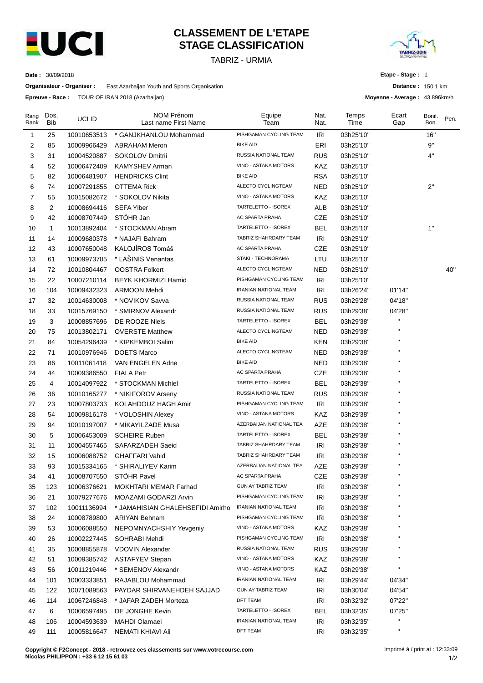

# **CLASSEMENT DE L'ETAPE STAGE CLASSIFICATION**

TABRIZ - URMIA



**Distance :** 150.1 km **Moyenne - Average :** 43.896km/h

**Etape - Stage :** 1

**Date :** 30/09/2018

**Organisateur - Organiser :** East Azarbaijan Youth and Sports Organisation

**Epreuve - Race :** TOUR OF IRAN 2018 (Azarbaijan)

| Rang<br>Rank | Dos.<br>Bib    | UCI ID      | NOM Prénom<br>Last name First Name | Equipe<br>Team               | Nat.<br>Nat. | Temps<br>Time | Ecart<br>Gap | Bonif.<br>Bon. | Pen. |
|--------------|----------------|-------------|------------------------------------|------------------------------|--------------|---------------|--------------|----------------|------|
| 1            | 25             | 10010653513 | * GANJKHANLOU Mohammad             | PISHGAMAN CYCLING TEAM       | IRI          | 03h25'10"     |              | 16"            |      |
| 2            | 85             | 10009966429 | <b>ABRAHAM Meron</b>               | <b>BIKE AID</b>              | ERI          | 03h25'10"     |              | 9"             |      |
| 3            | 31             | 10004520887 | SOKOLOV Dmitrii                    | RUSSIA NATIONAL TEAM         | <b>RUS</b>   | 03h25'10"     |              | 4"             |      |
| 4            | 52             | 10006472409 | <b>KAMYSHEV Arman</b>              | VINO - ASTANA MOTORS         | KAZ          | 03h25'10"     |              |                |      |
| 5            | 82             | 10006481907 | <b>HENDRICKS Clint</b>             | <b>BIKE AID</b>              | <b>RSA</b>   | 03h25'10"     |              |                |      |
| 6            | 74             | 10007291855 | OTTEMA Rick                        | ALECTO CYCLINGTEAM           | <b>NED</b>   | 03h25'10"     |              | 2"             |      |
| 7            | 55             | 10015082672 | * SOKOLOV Nikita                   | VINO - ASTANA MOTORS         | KAZ          | 03h25'10"     |              |                |      |
| 8            | $\overline{c}$ | 10008694416 | <b>SEFA Ylber</b>                  | TARTELETTO - ISOREX          | ALB          | 03h25'10"     |              |                |      |
| 9            | 42             | 10008707449 | STÖHR Jan                          | AC SPARTA PRAHA              | CZE          | 03h25'10"     |              |                |      |
| 10           | 1              | 10013892404 | * STOCKMAN Abram                   | TARTELETTO - ISOREX          | BEL          | 03h25'10"     |              | 1"             |      |
| 11           | 14             | 10009680378 | * NAJAFI Bahram                    | TABRIZ SHAHRDARY TEAM        | IRI          | 03h25'10"     |              |                |      |
| 12           | 43             | 10007650048 | KALOJÍROS Tomáš                    | AC SPARTA PRAHA              | CZE          | 03h25'10"     |              |                |      |
| 13           | 61             | 10009973705 | * LAŠINIS Venantas                 | STAKI - TECHNORAMA           | LTU          | 03h25'10"     |              |                |      |
| 14           | 72             | 10010804467 | <b>OOSTRA Folkert</b>              | ALECTO CYCLINGTEAM           | NED          | 03h25'10"     |              |                | 40"  |
| 15           | 22             | 10007210114 | BEYK KHORMIZI Hamid                | PISHGAMAN CYCLING TEAM       | IRI          | 03h25'10"     |              |                |      |
| 16           | 104            | 10009432323 | <b>ARMOON Mehdi</b>                | <b>IRANIAN NATIONAL TEAM</b> | IRI          | 03h26'24"     | 01'14"       |                |      |
| 17           | 32             | 10014630008 | * NOVIKOV Savva                    | RUSSIA NATIONAL TEAM         | <b>RUS</b>   | 03h29'28"     | 04'18"       |                |      |
| 18           | 33             | 10015769150 | * SMIRNOV Alexandr                 | RUSSIA NATIONAL TEAM         | <b>RUS</b>   | 03h29'38"     | 04'28"       |                |      |
| 19           | 3              | 10008857696 | DE ROOZE Niels                     | TARTELETTO - ISOREX          | <b>BEL</b>   | 03h29'38"     | П            |                |      |
| 20           | 75             | 10013802171 | <b>OVERSTE Matthew</b>             | ALECTO CYCLINGTEAM           | NED          | 03h29'38"     | п            |                |      |
| 21           | 84             | 10054296439 | * KIPKEMBOI Salim                  | <b>BIKE AID</b>              | <b>KEN</b>   | 03h29'38"     | п            |                |      |
| 22           | 71             | 10010976946 | DOETS Marco                        | ALECTO CYCLINGTEAM           | NED          | 03h29'38"     |              |                |      |
| 23           | 86             | 10011061418 | VAN ENGELEN Adne                   | <b>BIKE AID</b>              | <b>NED</b>   | 03h29'38"     | п            |                |      |
| 24           | 44             | 10009386550 | <b>FIALA Petr</b>                  | AC SPARTA PRAHA              | CZE          | 03h29'38"     |              |                |      |
| 25           | 4              | 10014097922 | * STOCKMAN Michiel                 | TARTELETTO - ISOREX          | BEL          | 03h29'38"     |              |                |      |
| 26           | 36             | 10010165277 | * NIKIFOROV Arseny                 | RUSSIA NATIONAL TEAM         | <b>RUS</b>   | 03h29'38"     |              |                |      |
| 27           | 23             | 10007803733 | KOLAHDOUZ HAGH Amir                | PISHGAMAN CYCLING TEAM       | IRI          | 03h29'38"     |              |                |      |
| 28           | 54             | 10009816178 | * VOLOSHIN Alexey                  | VINO - ASTANA MOTORS         | KAZ          | 03h29'38"     |              |                |      |
| 29           | 94             | 10010197007 | * MIKAYILZADE Musa                 | AZERBAIJAN NATIONAL TEA      | AZE          | 03h29'38"     | п            |                |      |
| 30           | 5              | 10006453009 | <b>SCHEIRE Ruben</b>               | TARTELETTO - ISOREX          | BEL          | 03h29'38"     | $\mathbf{H}$ |                |      |
| 31           | 11             | 10004557465 | SAFARZADEH Saeid                   | TABRIZ SHAHRDARY TEAM        | <b>IRI</b>   | 03h29'38"     | п            |                |      |
| 32           | 15             | 10006088752 | <b>GHAFFARI Vahid</b>              | TABRIZ SHAHRDARY TEAM        | IRI          | 03h29'38"     | п            |                |      |
| 33           | 93             | 10015334165 | * SHIRALIYEV Karim                 | AZERBAIJAN NATIONAL TEA      | AZE          | 03h29'38"     | п            |                |      |
| 34           | 41             | 10008707550 | <b>STOHR Pavel</b>                 | AC SPARTA PRAHA              | CZE          | 03h29'38"     |              |                |      |
| 35           | 123            | 10006376621 | <b>MOKHTARI MEMAR Farhad</b>       | <b>GUN AY TABRIZ TEAM</b>    | <b>IRI</b>   | 03h29'38"     | П            |                |      |
| 36           | 21             | 10079277676 | MOAZAMI GODARZI Arvin              | PISHGAMAN CYCLING TEAM       | IRI          | 03h29'38"     |              |                |      |
| 37           | 102            | 10011136994 | * JAMAHISIAN GHALEHSEFIDI Amirho   | <b>IRANIAN NATIONAL TEAM</b> | IRI          | 03h29'38"     | н            |                |      |
| 38           | 24             | 10008789800 | <b>ARIYAN Behnam</b>               | PISHGAMAN CYCLING TEAM       | IRI          | 03h29'38"     | п            |                |      |
| 39           | 53             | 10006088550 | NEPOMNYACHSHIY Yevgeniy            | VINO - ASTANA MOTORS         | KAZ          | 03h29'38"     | п            |                |      |
| 40           | 26             | 10002227445 | SOHRABI Mehdi                      | PISHGAMAN CYCLING TEAM       | IRI          | 03h29'38"     | п            |                |      |
| 41           | 35             | 10008855878 | <b>VDOVIN Alexander</b>            | RUSSIA NATIONAL TEAM         | <b>RUS</b>   | 03h29'38"     | п            |                |      |
| 42           | 51             | 10009385742 | <b>ASTAFYEV Stepan</b>             | VINO - ASTANA MOTORS         | KAZ          | 03h29'38"     |              |                |      |
| 43           | 56             | 10011219446 | * SEMENOV Alexandr                 | VINO - ASTANA MOTORS         | KAZ          | 03h29'38"     |              |                |      |
| 44           | 101            | 10003333851 | RAJABLOU Mohammad                  | IRANIAN NATIONAL TEAM        | IRI          | 03h29'44"     | 04'34"       |                |      |
| 45           | 122            | 10071089563 | PAYDAR SHIRVANEHDEH SAJJAD         | GUN AY TABRIZ TEAM           | <b>IRI</b>   | 03h30'04"     | 04'54"       |                |      |
| 46           | 114            | 10067246848 | * JAFAR ZADEH Morteza              | DFT TEAM                     | <b>IRI</b>   | 03h32'32"     | 07'22"       |                |      |
| 47           | 6              | 10006597495 | DE JONGHE Kevin                    | TARTELETTO - ISOREX          | <b>BEL</b>   | 03h32'35"     | 07'25"       |                |      |
| 48           | 106            | 10004593639 | MAHDI Olamaei                      | IRANIAN NATIONAL TEAM        | IRI          | 03h32'35"     | H.           |                |      |
| 49           | 111            | 10005816647 | NEMATI KHIAVI Ali                  | DFT TEAM                     | <b>IRI</b>   | 03h32'35"     | н            |                |      |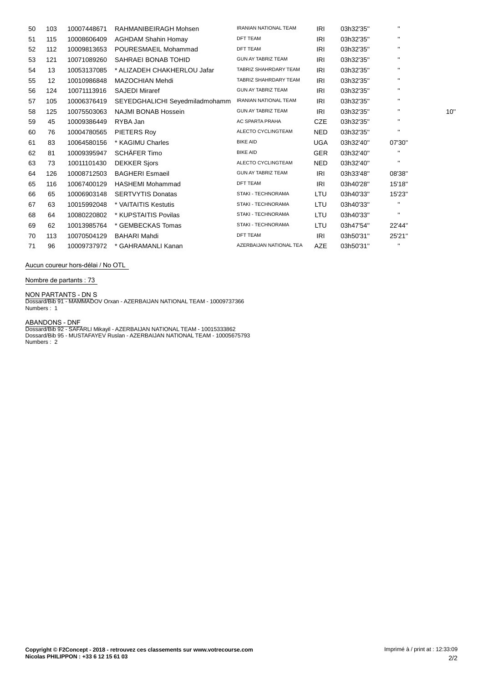| 50 | 103               | 10007448671 | RAHMANIBEIRAGH Mohsen          | <b>IRANIAN NATIONAL TEAM</b> | IRI        | 03h32'35" | $\mathbf{H}$   |     |
|----|-------------------|-------------|--------------------------------|------------------------------|------------|-----------|----------------|-----|
| 51 | 115               | 10008606409 | <b>AGHDAM Shahin Homay</b>     | <b>DFT TEAM</b>              | IRI        | 03h32'35" |                |     |
| 52 | 112               | 10009813653 | POURESMAEIL Mohammad           | <b>DFT TEAM</b>              | IRI        | 03h32'35" | $\blacksquare$ |     |
| 53 | 121               | 10071089260 | SAHRAEI BONAB TOHID            | <b>GUN AY TABRIZ TEAM</b>    | IRI        | 03h32'35" |                |     |
| 54 | 13                | 10053137085 | * ALIZADEH CHAKHERLOU Jafar    | TABRIZ SHAHRDARY TEAM        | IRI        | 03h32'35" | $\blacksquare$ |     |
| 55 | $12 \overline{ }$ | 10010986848 | <b>MAZOCHIAN Mehdi</b>         | TABRIZ SHAHRDARY TEAM        | IRI        | 03h32'35" | $\mathbf{H}$   |     |
| 56 | 124               | 10071113916 | <b>SAJEDI Miraref</b>          | <b>GUN AY TABRIZ TEAM</b>    | IRI        | 03h32'35" | $\blacksquare$ |     |
| 57 | 105               | 10006376419 | SEYEDGHALICHI Seyedmiladmohamm | <b>IRANIAN NATIONAL TEAM</b> | IRI        | 03h32'35" |                |     |
| 58 | 125               | 10075503063 | <b>NAJMI BONAB Hossein</b>     | <b>GUN AY TABRIZ TEAM</b>    | IRI        | 03h32'35" |                | 10' |
| 59 | 45                | 10009386449 | RYBA Jan                       | AC SPARTA PRAHA              | <b>CZE</b> | 03h32'35" | $\mathbf{H}$   |     |
| 60 | 76                | 10004780565 | PIETERS Roy                    | ALECTO CYCLINGTEAM           | <b>NED</b> | 03h32'35" |                |     |
| 61 | 83                | 10064580156 | * KAGIMU Charles               | <b>BIKE AID</b>              | <b>UGA</b> | 03h32'40" | 07'30"         |     |
| 62 | 81                | 10009395947 | SCHÄFER Timo                   | <b>BIKE AID</b>              | <b>GER</b> | 03h32'40" |                |     |
| 63 | 73                | 10011101430 | <b>DEKKER Sjors</b>            | ALECTO CYCLINGTEAM           | <b>NED</b> | 03h32'40" | $\blacksquare$ |     |
| 64 | 126               | 10008712503 | <b>BAGHERI Esmaeil</b>         | <b>GUN AY TABRIZ TEAM</b>    | IRI        | 03h33'48" | 08'38"         |     |
| 65 | 116               | 10067400129 | <b>HASHEMI Mohammad</b>        | <b>DFT TEAM</b>              | IRI        | 03h40'28" | 15'18"         |     |
| 66 | 65                | 10006903148 | <b>SERTVYTIS Donatas</b>       | STAKI - TECHNORAMA           | LTU        | 03h40'33" | 15'23"         |     |
| 67 | 63                | 10015992048 | * VAITAITIS Kestutis           | STAKI - TECHNORAMA           | LTU        | 03h40'33" | $\blacksquare$ |     |
| 68 | 64                | 10080220802 | * KUPSTAITIS Povilas           | STAKI - TECHNORAMA           | LTU        | 03h40'33" |                |     |
| 69 | 62                | 10013985764 | * GEMBECKAS Tomas              | STAKI - TECHNORAMA           | LTU        | 03h47'54" | 22'44"         |     |
| 70 | 113               | 10070504129 | <b>BAHARI Mahdi</b>            | <b>DFT TEAM</b>              | IRI        | 03h50'31" | 25'21"         |     |
| 71 | 96                | 10009737972 | * GAHRAMANLI Kanan             | AZERBAIJAN NATIONAL TEA      | <b>AZE</b> | 03h50'31" |                |     |

**Aucun coureur hors-dÈlai / No OTL**

**Nombre de partants : 73**

**NON PARTANTS - DN** S Dossard/Bib 91 - MAMMADOV Orxan - AZERBAIJAN NATIONAL TEAM - 10009737366 Numbers : 1

**ABANDONS - DNF**<br>Dossard/Bib 92 - SAFARLI Mikayil - AZERBAIJAN NATIONAL TEAM - 10015333862<br>Dossard/Bib 95 - MUSTAFAYEV Ruslan - AZERBAIJAN NATIONAL TEAM - 10005675793<br>Numbers : 2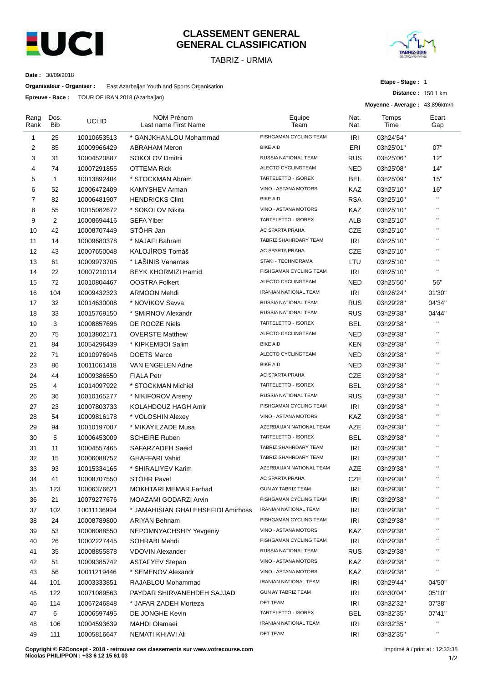

#### **CLASSEMENT GENERAL GENERAL CLASSIFICATION**

TABRIZ - URMIA



**Distance :** 150.1 km

**Etape - Stage :** 1

**Date :** 30/09/2018

**Organisateur - Organiser :** East Azarbaijan Youth and Sports Organisation

**Epreuve - Race :** TOUR OF IRAN 2018 (Azarbaijan)

|                |                    | Epieuve - Kace 100K OF IKAN 2010 (Azarbaijari) |                                           |                              | Moyenne - Average: 43.896km/h |               |              |
|----------------|--------------------|------------------------------------------------|-------------------------------------------|------------------------------|-------------------------------|---------------|--------------|
| Rang<br>Rank   | Dos.<br><b>Bib</b> | UCI ID                                         | <b>NOM Prénom</b><br>Last name First Name | Equipe<br>Team               | Nat.<br>Nat.                  | Temps<br>Time | Ecart<br>Gap |
| 1              | 25                 | 10010653513                                    | * GANJKHANLOU Mohammad                    | PISHGAMAN CYCLING TEAM       | IRI                           | 03h24'54"     |              |
| 2              | 85                 | 10009966429                                    | <b>ABRAHAM Meron</b>                      | <b>BIKE AID</b>              | ERI                           | 03h25'01"     | 07"          |
| 3              | 31                 | 10004520887                                    | <b>SOKOLOV Dmitrii</b>                    | RUSSIA NATIONAL TEAM         | <b>RUS</b>                    | 03h25'06"     | 12"          |
| $\overline{4}$ | 74                 | 10007291855                                    | <b>OTTEMA Rick</b>                        | ALECTO CYCLINGTEAM           | NED                           | 03h25'08"     | 14"          |
| 5              | $\mathbf{1}$       | 10013892404                                    | * STOCKMAN Abram                          | TARTELETTO - ISOREX          | <b>BEL</b>                    | 03h25'09"     | 15"          |
| 6              | 52                 | 10006472409                                    | KAMYSHEV Arman                            | VINO - ASTANA MOTORS         | <b>KAZ</b>                    | 03h25'10"     | 16"          |
| $\overline{7}$ | 82                 | 10006481907                                    | <b>HENDRICKS Clint</b>                    | <b>BIKE AID</b>              | <b>RSA</b>                    | 03h25'10"     | $\mathbf{H}$ |
| 8              | 55                 | 10015082672                                    | * SOKOLOV Nikita                          | VINO - ASTANA MOTORS         | KAZ                           | 03h25'10"     | $\mathbf{H}$ |
| 9              | 2                  | 10008694416                                    | <b>SEFA Ylber</b>                         | TARTELETTO - ISOREX          | <b>ALB</b>                    | 03h25'10"     | $\mathbf{H}$ |
| 10             | 42                 | 10008707449                                    | STÖHR Jan                                 | AC SPARTA PRAHA              | <b>CZE</b>                    | 03h25'10"     | $\mathbf{H}$ |
| 11             | 14                 | 10009680378                                    | * NAJAFI Bahram                           | TABRIZ SHAHRDARY TEAM        | IRI                           | 03h25'10"     | $\mathbf{H}$ |
| 12             | 43                 | 10007650048                                    | KALOJÍROS Tomáš                           | AC SPARTA PRAHA              | <b>CZE</b>                    | 03h25'10"     | $\mathbf{H}$ |
| 13             | 61                 | 10009973705                                    | * LAŠINIS Venantas                        | STAKI - TECHNORAMA           | LTU                           | 03h25'10"     | $\mathbf{u}$ |
| 14             | 22                 | 10007210114                                    | <b>BEYK KHORMIZI Hamid</b>                | PISHGAMAN CYCLING TEAM       | <b>IRI</b>                    | 03h25'10"     | $\mathbf{H}$ |
| 15             | 72                 | 10010804467                                    | <b>OOSTRA Folkert</b>                     | ALECTO CYCLINGTEAM           | <b>NED</b>                    | 03h25'50"     | 56"          |
| 16             | 104                | 10009432323                                    | <b>ARMOON Mehdi</b>                       | <b>IRANIAN NATIONAL TEAM</b> | IRI                           | 03h26'24"     | 01'30"       |
| 17             | 32                 | 10014630008                                    | * NOVIKOV Savva                           | RUSSIA NATIONAL TEAM         | <b>RUS</b>                    | 03h29'28"     | 04'34"       |
| 18             | 33                 | 10015769150                                    | * SMIRNOV Alexandr                        | RUSSIA NATIONAL TEAM         | <b>RUS</b>                    | 03h29'38"     | 04'44"       |
| 19             | 3                  | 10008857696                                    | DE ROOZE Niels                            | TARTELETTO - ISOREX          | <b>BEL</b>                    | 03h29'38"     | $\mathbf{H}$ |
| 20             | 75                 | 10013802171                                    | <b>OVERSTE Matthew</b>                    | ALECTO CYCLINGTEAM           | NED                           | 03h29'38"     | $\mathbf{H}$ |
| 21             | 84                 | 10054296439                                    | * KIPKEMBOI Salim                         | <b>BIKE AID</b>              | KEN                           | 03h29'38"     | $\mathbf{H}$ |
| 22             | 71                 | 10010976946                                    | <b>DOETS Marco</b>                        | ALECTO CYCLINGTEAM           | <b>NED</b>                    | 03h29'38"     | $\mathbf{H}$ |
| 23             | 86                 | 10011061418                                    | VAN ENGELEN Adne                          | <b>BIKE AID</b>              | <b>NED</b>                    | 03h29'38"     | $\mathbf{H}$ |
| 24             | 44                 | 10009386550                                    | <b>FIALA Petr</b>                         | AC SPARTA PRAHA              | <b>CZE</b>                    | 03h29'38"     | $\mathbf{H}$ |
| 25             | 4                  | 10014097922                                    | * STOCKMAN Michiel                        | TARTELETTO - ISOREX          | <b>BEL</b>                    | 03h29'38"     | $\mathbf{H}$ |
| 26             | 36                 | 10010165277                                    | * NIKIFOROV Arseny                        | RUSSIA NATIONAL TEAM         | <b>RUS</b>                    | 03h29'38"     | $\mathbf{H}$ |
| 27             | 23                 | 10007803733                                    | KOLAHDOUZ HAGH Amir                       | PISHGAMAN CYCLING TEAM       | IRI                           | 03h29'38"     | $\mathbf{H}$ |
| 28             | 54                 | 10009816178                                    | * VOLOSHIN Alexey                         | VINO - ASTANA MOTORS         | KAZ                           | 03h29'38"     | $\mathbf{H}$ |
| 29             | 94                 | 10010197007                                    | * MIKAYILZADE Musa                        | AZERBAIJAN NATIONAL TEAM     | AZE                           | 03h29'38"     | $\mathbf{u}$ |
| 30             | 5                  | 10006453009                                    | <b>SCHEIRE Ruben</b>                      | TARTELETTO - ISOREX          | <b>BEL</b>                    | 03h29'38"     | $\mathbf{H}$ |
| 31             | 11                 | 10004557465                                    | SAFARZADEH Saeid                          | TABRIZ SHAHRDARY TEAM        | <b>IRI</b>                    | 03h29'38"     | $\mathbf{H}$ |
| 32             | 15                 | 10006088752                                    | <b>GHAFFARI Vahid</b>                     | TABRIZ SHAHRDARY TEAM        | IRI                           | 03h29'38"     | $\mathbf{H}$ |
| 33             | 93                 | 10015334165                                    | * SHIRALIYEV Karim                        | AZERBAIJAN NATIONAL TEAM     | AZE                           | 03h29'38"     | $\mathbf{H}$ |
| 34             | 41                 | 10008707550                                    | <b>STOHR Pavel</b>                        | AC SPARTA PRAHA              | CZE                           | 03h29'38"     |              |
| 35             | 123                | 10006376621                                    | MOKHTARI MEMAR Farhad                     | GUN AY TABRIZ TEAM           | IRI                           | 03h29'38"     | п            |
| 36             | 21                 | 10079277676                                    | MOAZAMI GODARZI Arvin                     | PISHGAMAN CYCLING TEAM       | IRI                           | 03h29'38"     | $\mathbf{H}$ |
| 37             | 102                | 10011136994                                    | * JAMAHISIAN GHALEHSEFIDI Amirhoss        | IRANIAN NATIONAL TEAM        | <b>IRI</b>                    | 03h29'38"     | п            |
| 38             | 24                 | 10008789800                                    | <b>ARIYAN Behnam</b>                      | PISHGAMAN CYCLING TEAM       | IRI                           | 03h29'38"     | $\mathbf{H}$ |
| 39             | 53                 | 10006088550                                    | NEPOMNYACHSHIY Yevgeniy                   | VINO - ASTANA MOTORS         | KAZ                           | 03h29'38"     |              |
| 40             | 26                 | 10002227445                                    | SOHRABI Mehdi                             | PISHGAMAN CYCLING TEAM       | IRI                           | 03h29'38"     | $\mathbf{H}$ |
| 41             | 35                 | 10008855878                                    | <b>VDOVIN Alexander</b>                   | RUSSIA NATIONAL TEAM         | <b>RUS</b>                    | 03h29'38"     | $\mathbf{H}$ |
| 42             | 51                 | 10009385742                                    | <b>ASTAFYEV Stepan</b>                    | VINO - ASTANA MOTORS         | KAZ                           | 03h29'38"     | $\mathbf{H}$ |
| 43             | 56                 | 10011219446                                    | * SEMENOV Alexandr                        | VINO - ASTANA MOTORS         | KAZ                           | 03h29'38"     | $\mathbf{H}$ |
| 44             | 101                | 10003333851                                    | RAJABLOU Mohammad                         | IRANIAN NATIONAL TEAM        | IRI                           | 03h29'44"     | 04'50"       |
| 45             | 122                | 10071089563                                    | PAYDAR SHIRVANEHDEH SAJJAD                | GUN AY TABRIZ TEAM           | IRI                           | 03h30'04"     | 05'10"       |
| 46             | 114                | 10067246848                                    | * JAFAR ZADEH Morteza                     | DFT TEAM                     | IRI                           | 03h32'32"     | 07'38"       |
| 47             | 6                  | 10006597495                                    | DE JONGHE Kevin                           | TARTELETTO - ISOREX          | <b>BEL</b>                    | 03h32'35"     | 07'41"       |
| 48             | 106                | 10004593639                                    | <b>MAHDI Olamaei</b>                      | IRANIAN NATIONAL TEAM        | IRI                           | 03h32'35"     | $\mathbf{H}$ |
| 49             | 111                | 10005816647                                    | NEMATI KHIAVI Ali                         | DFT TEAM                     | IRI                           | 03h32'35"     | $\mathbf{H}$ |

**Copyright © F2Concept - 2018 - retrouvez ces classements sur www.votrecourse.com Nicolas PHILIPPON : +33 6 12 15 61 03**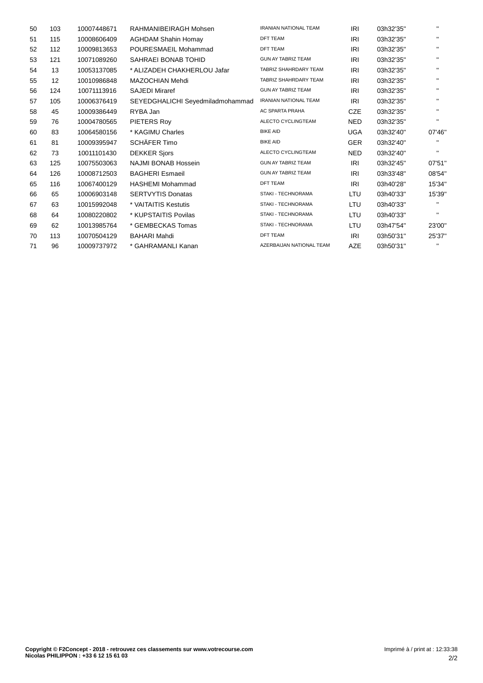| 50 | 103 | 10007448671 | RAHMANIBEIRAGH Mohsen            | <b>IRANIAN NATIONAL TEAM</b> | <b>IRI</b> | 03h32'35" | $\mathbf{H}$ |
|----|-----|-------------|----------------------------------|------------------------------|------------|-----------|--------------|
| 51 | 115 | 10008606409 | <b>AGHDAM Shahin Homay</b>       | <b>DFT TEAM</b>              | <b>IRI</b> | 03h32'35" | п.           |
| 52 | 112 | 10009813653 | POURESMAEIL Mohammad             | <b>DFT TEAM</b>              | IRI        | 03h32'35" | п.           |
| 53 | 121 | 10071089260 | SAHRAEI BONAB TOHID              | <b>GUN AY TABRIZ TEAM</b>    | <b>IRI</b> | 03h32'35" | п.           |
| 54 | 13  | 10053137085 | * ALIZADEH CHAKHERLOU Jafar      | TABRIZ SHAHRDARY TEAM        | IRI        | 03h32'35" | п.           |
| 55 | 12  | 10010986848 | <b>MAZOCHIAN Mehdi</b>           | TABRIZ SHAHRDARY TEAM        | IRI        | 03h32'35" | п.           |
| 56 | 124 | 10071113916 | <b>SAJEDI Miraref</b>            | <b>GUN AY TABRIZ TEAM</b>    | IRI        | 03h32'35" | $\mathbf{H}$ |
| 57 | 105 | 10006376419 | SEYEDGHALICHI Seyedmiladmohammad | <b>IRANIAN NATIONAL TEAM</b> | <b>IRI</b> | 03h32'35" | п.           |
| 58 | 45  | 10009386449 | RYBA Jan                         | AC SPARTA PRAHA              | <b>CZE</b> | 03h32'35" | п.           |
| 59 | 76  | 10004780565 | PIETERS Roy                      | ALECTO CYCLINGTEAM           | <b>NED</b> | 03h32'35" | п.           |
| 60 | 83  | 10064580156 | * KAGIMU Charles                 | <b>BIKE AID</b>              | <b>UGA</b> | 03h32'40" | 07'46"       |
| 61 | 81  | 10009395947 | SCHÄFER Timo                     | <b>BIKE AID</b>              | <b>GER</b> | 03h32'40" | п.           |
| 62 | 73  | 10011101430 | <b>DEKKER Sjors</b>              | ALECTO CYCLINGTEAM           | <b>NED</b> | 03h32'40" | п.           |
| 63 | 125 | 10075503063 | <b>NAJMI BONAB Hossein</b>       | <b>GUN AY TABRIZ TEAM</b>    | <b>IRI</b> | 03h32'45" | 07'51"       |
| 64 | 126 | 10008712503 | <b>BAGHERI Esmaeil</b>           | <b>GUN AY TABRIZ TEAM</b>    | <b>IRI</b> | 03h33'48" | 08'54"       |
| 65 | 116 | 10067400129 | <b>HASHEMI Mohammad</b>          | <b>DFT TEAM</b>              | IRI        | 03h40'28" | 15'34"       |
| 66 | 65  | 10006903148 | <b>SERTVYTIS Donatas</b>         | STAKI - TECHNORAMA           | LTU        | 03h40'33" | 15'39"       |
| 67 | 63  | 10015992048 | * VAITAITIS Kestutis             | STAKI - TECHNORAMA           | <b>LTU</b> | 03h40'33" |              |
| 68 | 64  | 10080220802 | * KUPSTAITIS Povilas             | STAKI - TECHNORAMA           | LTU        | 03h40'33" | п.           |
| 69 | 62  | 10013985764 | * GEMBECKAS Tomas                | STAKI - TECHNORAMA           | LTU        | 03h47'54" | 23'00"       |
| 70 | 113 | 10070504129 | <b>BAHARI Mahdi</b>              | <b>DFT TEAM</b>              | IRI        | 03h50'31" | 25'37"       |
| 71 | 96  | 10009737972 | * GAHRAMANLI Kanan               | AZERBAIJAN NATIONAL TEAM     | <b>AZE</b> | 03h50'31" |              |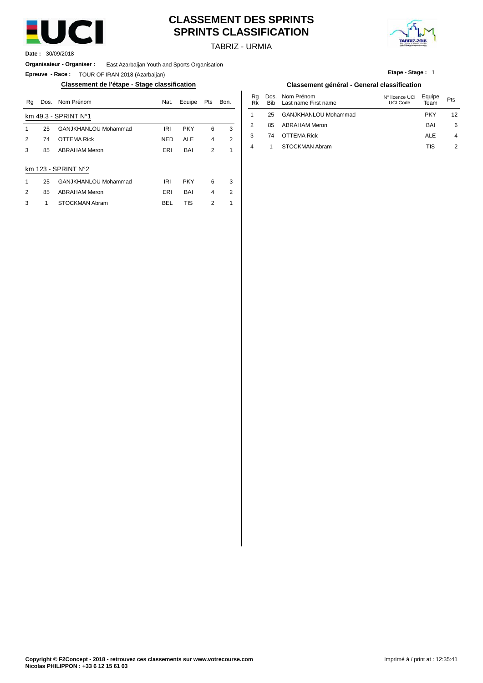

# **CLASSEMENT DES SPRINTS SPRINTS CLASSIFICATION**



TABRIZ - URMIA

**Date :** 30/09/2018

**Organisateur - Organiser :** East Azarbaijan Youth and Sports Organisation

**Epreuve - Race :** TOUR OF IRAN 2018 (Azarbaijan)

#### **Classement de l'étape - Stage classification Classement général - General classification**

| Rq | Dos. | Nom Prénom                  | Nat.       | Equipe     | Pts            | Bon. | Ra<br>Rk | Dos.<br>Bib | Nom Prénom<br>Last name First name | N° licence UCI<br><b>UCI Code</b> | Equipe<br>Team | Pts |
|----|------|-----------------------------|------------|------------|----------------|------|----------|-------------|------------------------------------|-----------------------------------|----------------|-----|
|    |      | km $49.3 - SPRINT No1$      |            |            |                |      |          | 25          | GANJKHANLOU Mohammad               |                                   | <b>PKY</b>     | 12  |
|    | 25   | <b>GANJKHANLOU Mohammad</b> | <b>IRI</b> | <b>PKY</b> | 6              | 3    | 2        | 85          | <b>ABRAHAM Meron</b>               |                                   | <b>BAI</b>     | 6   |
| 2  | 74   | <b>OTTEMA Rick</b>          | <b>NED</b> | <b>ALE</b> | 4              | 2    | 3        | 74          | <b>OTTEMA Rick</b>                 |                                   | <b>ALE</b>     |     |
| 3  | 85   | <b>ABRAHAM Meron</b>        | ERI        | BAI        | 2              |      | 4        |             | STOCKMAN Abram                     |                                   | <b>TIS</b>     | 2   |
|    |      | km $123 - SPRINT N°2$       |            |            |                |      |          |             |                                    |                                   |                |     |
|    | 25   | GANJKHANLOU Mohammad        | IRI        | <b>PKY</b> | 6              | 3    |          |             |                                    |                                   |                |     |
| 2  | 85   | <b>ABRAHAM Meron</b>        | ERI        | BAI        | $\overline{4}$ | 2    |          |             |                                    |                                   |                |     |
| 3  |      | <b>STOCKMAN Abram</b>       | <b>BEL</b> | TIS        | 2              |      |          |             |                                    |                                   |                |     |

#### **Etape - Stage :** 1

|            | Classelliellt gelielal - Gelielal Classification |        |
|------------|--------------------------------------------------|--------|
| Nom Prénom | N° licence UCI                                   | Equipe |

| Nat.       | Equipe     | Pts            | Bon. | Ra<br>Rk | <b>Bib</b> | Dos. Nom Prénom<br>Last name First name | N° licence UCI<br><b>UCI Code</b> | Equipe<br>Team | Pts            |
|------------|------------|----------------|------|----------|------------|-----------------------------------------|-----------------------------------|----------------|----------------|
|            |            |                |      |          | 25         | GANJKHANLOU Mohammad                    |                                   | <b>PKY</b>     | 12             |
| <b>IRI</b> | <b>PKY</b> | 6              | 3    | 2        | 85         | <b>ABRAHAM Meron</b>                    |                                   | <b>BAI</b>     | 6              |
| NED        | ALE        | $\overline{4}$ | 2    | 3        | 74         | <b>OTTEMA Rick</b>                      |                                   | <b>ALE</b>     | $\overline{4}$ |
| ERI        | BAI        | 2              |      | 4        |            | STOCKMAN Abram                          |                                   | TIS            | 2              |
|            |            |                |      |          |            |                                         |                                   |                |                |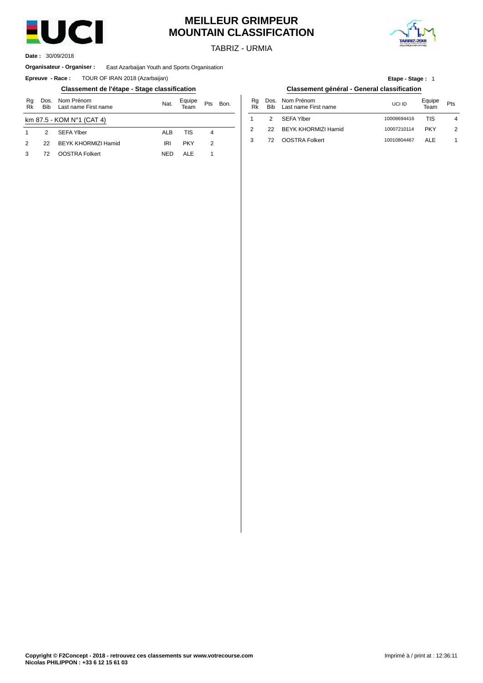

# **MEILLEUR GRIMPEUR MOUNTAIN CLASSIFICATION**

TABRIZ - URMIA



30/09/2018 **Date :**

#### **Organisateur - Organiser :** East Azarbaijan Youth and Sports Organisation

**Epreuve - Race:** TOUR OF IRAN 2018 (Azarbaijan)

#### **Classement de l'étape - Stage classification Classement général - General classification**

| Rg<br>Rk                  | <b>Bib</b> | Dos. Nom Prénom<br>Equipe<br>Nat.<br>Pts<br>Bon.<br>Last name First name<br>Team |            |            |   |  |  | Rg<br>Rk       | Do<br>Bi |
|---------------------------|------------|----------------------------------------------------------------------------------|------------|------------|---|--|--|----------------|----------|
| km 87.5 - KOM N°1 (CAT 4) |            |                                                                                  |            |            |   |  |  |                | 2        |
|                           | 2          | SEFA Ylber                                                                       | <b>ALB</b> | TIS        | 4 |  |  | $\overline{2}$ | 2:       |
| $\mathcal{P}$             | 22         | <b>BEYK KHORMIZI Hamid</b>                                                       | IRI        | <b>PKY</b> | 2 |  |  | 3              | 7:       |
|                           | 72         | <b>OOSTRA Folkert</b>                                                            | <b>NED</b> | AI F       |   |  |  |                |          |

| <b>Etape - Stage: 1</b>                    |  |
|--------------------------------------------|--|
| lassement général - General classification |  |

| Bon. | Ra<br>Rk |               | Dos. Nom Prénom<br>Bib Last name First name | UCI ID      | Equipe<br>Team | Pts           |
|------|----------|---------------|---------------------------------------------|-------------|----------------|---------------|
|      |          | $\mathcal{P}$ | SEFA Ylber                                  | 10008694416 | TIS            | 4             |
|      |          |               | 22 BEYK KHORMIZI Hamid                      | 10007210114 | <b>PKY</b>     | $\mathcal{P}$ |
|      |          |               | 72 OOSTRA Folkert                           | 10010804467 | AI F           |               |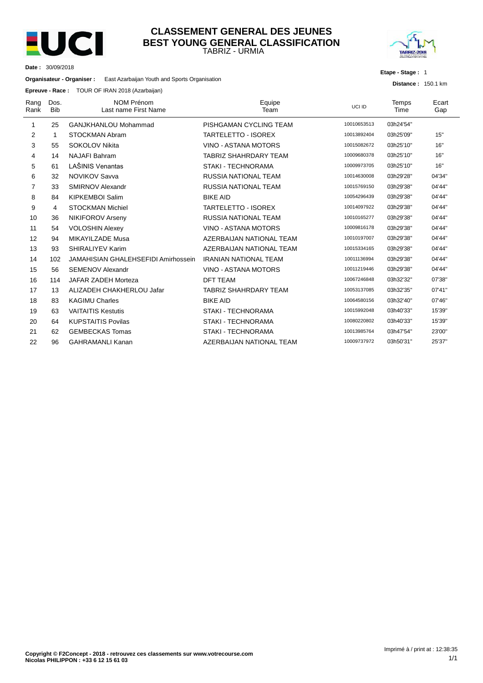

#### TABRIZ - URMIA **CLASSEMENT GENERAL DES JEUNES BEST YOUNG GENERAL CLASSIFICATION**



**Etape - Stage :** 1

**Distance :** 150.1 km

**Date :** 30/09/2018

**Organisateur - Organiser :** East Azarbaijan Youth and Sports Organisation

**Epreuve - Race :** TOUR OF IRAN 2018 (Azarbaijan)

| Rang<br>Rank | Dos.<br><b>Bib</b> | <b>NOM Prénom</b><br>Last name First Name | Equipe<br>Team               | UCI ID      | Temps<br>Time | Ecart<br>Gap |
|--------------|--------------------|-------------------------------------------|------------------------------|-------------|---------------|--------------|
| 1            | 25                 | <b>GANJKHANLOU Mohammad</b>               | PISHGAMAN CYCLING TEAM       | 10010653513 | 03h24'54"     |              |
| 2            | 1                  | STOCKMAN Abram                            | <b>TARTELETTO - ISOREX</b>   | 10013892404 | 03h25'09"     | 15"          |
| 3            | 55                 | SOKOLOV Nikita                            | VINO - ASTANA MOTORS         | 10015082672 | 03h25'10"     | 16"          |
| 4            | 14                 | <b>NAJAFI Bahram</b>                      | <b>TABRIZ SHAHRDARY TEAM</b> | 10009680378 | 03h25'10"     | 16"          |
| 5            | 61                 | LAŠINIS Venantas                          | STAKI - TECHNORAMA           | 10009973705 | 03h25'10"     | 16"          |
| 6            | 32                 | <b>NOVIKOV Savva</b>                      | <b>RUSSIA NATIONAL TEAM</b>  | 10014630008 | 03h29'28"     | 04'34"       |
| 7            | 33                 | <b>SMIRNOV Alexandr</b>                   | RUSSIA NATIONAL TEAM         | 10015769150 | 03h29'38"     | 04'44"       |
| 8            | 84                 | <b>KIPKEMBOI Salim</b>                    | <b>BIKE AID</b>              | 10054296439 | 03h29'38"     | 04'44"       |
| 9            | 4                  | <b>STOCKMAN Michiel</b>                   | <b>TARTELETTO - ISOREX</b>   | 10014097922 | 03h29'38"     | 04'44"       |
| 10           | 36                 | <b>NIKIFOROV Arseny</b>                   | <b>RUSSIA NATIONAL TEAM</b>  | 10010165277 | 03h29'38"     | 04'44"       |
| 11           | 54                 | <b>VOLOSHIN Alexey</b>                    | VINO - ASTANA MOTORS         | 10009816178 | 03h29'38"     | 04'44"       |
| 12           | 94                 | MIKAYILZADE Musa                          | AZERBAIJAN NATIONAL TEAM     | 10010197007 | 03h29'38"     | 04'44"       |
| 13           | 93                 | SHIRALIYEV Karim                          | AZERBAIJAN NATIONAL TEAM     | 10015334165 | 03h29'38"     | 04'44"       |
| 14           | 102                | JAMAHISIAN GHALEHSEFIDI Amirhossein       | <b>IRANIAN NATIONAL TEAM</b> | 10011136994 | 03h29'38"     | 04'44"       |
| 15           | 56                 | <b>SEMENOV Alexandr</b>                   | VINO - ASTANA MOTORS         | 10011219446 | 03h29'38"     | 04'44"       |
| 16           | 114                | JAFAR ZADEH Morteza                       | <b>DFT TEAM</b>              | 10067246848 | 03h32'32"     | 07'38"       |
| 17           | 13                 | ALIZADEH CHAKHERLOU Jafar                 | <b>TABRIZ SHAHRDARY TEAM</b> | 10053137085 | 03h32'35"     | 07'41"       |
| 18           | 83                 | <b>KAGIMU Charles</b>                     | <b>BIKE AID</b>              | 10064580156 | 03h32'40"     | 07'46"       |
| 19           | 63                 | <b>VAITAITIS Kestutis</b>                 | STAKI - TECHNORAMA           | 10015992048 | 03h40'33"     | 15'39"       |
| 20           | 64                 | <b>KUPSTAITIS Povilas</b>                 | <b>STAKI - TECHNORAMA</b>    | 10080220802 | 03h40'33"     | 15'39"       |
| 21           | 62                 | <b>GEMBECKAS Tomas</b>                    | <b>STAKI - TECHNORAMA</b>    | 10013985764 | 03h47'54"     | 23'00"       |
| 22           | 96                 | <b>GAHRAMANLI Kanan</b>                   | AZERBAIJAN NATIONAL TEAM     | 10009737972 | 03h50'31"     | 25'37"       |
|              |                    |                                           |                              |             |               |              |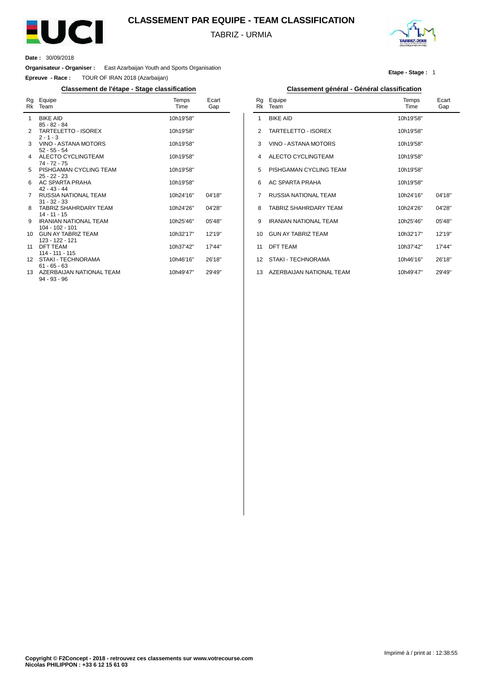

### **CLASSEMENT PAR EQUIPE - TEAM CLASSIFICATION**

TABRIZ - URMIA



**Etape - Stage :** 1

**Date :** 30/09/2018

**Organisateur - Organiser :** East Azarbaijan Youth and Sports Organisation

**Epreuve - Race :** TOUR OF IRAN 2018 (Azarbaijan)

#### **Classement de l'étape - Stage classification Classement général - Général classification**

| Rg              | Equipe<br>Rk Team                                      | Temps<br>Time | Ecart<br>Gap |
|-----------------|--------------------------------------------------------|---------------|--------------|
| 1               | <b>BIKE AID</b>                                        | 10h19'58"     |              |
| 2               | $85 - 82 - 84$<br>TARTELETTO - ISOREX                  | 10h19'58"     |              |
| 3               | $2 - 1 - 3$<br>VINO - ASTANA MOTORS                    | 10h19'58"     |              |
| 4               | $52 - 55 - 54$<br>ALECTO CYCLINGTEAM<br>$74 - 72 - 75$ | 10h19'58"     |              |
| 5               | PISHGAMAN CYCLING TEAM<br>$25 - 22 - 23$               | 10h19'58"     |              |
| 6               | AC SPARTA PRAHA<br>$42 - 43 - 44$                      | 10h19'58"     |              |
| $\overline{7}$  | <b>RUSSIA NATIONAL TEAM</b><br>$31 - 32 - 33$          | 10h24'16"     | 04'18"       |
| 8               | <b>TABRIZ SHAHRDARY TEAM</b><br>$14 - 11 - 15$         | 10h24'26"     | 04'28"       |
| 9               | <b>IRANIAN NATIONAL TEAM</b><br>104 - 102 - 101        | 10h25'46"     | 05'48"       |
| 10 <sup>1</sup> | <b>GUN AY TABRIZ TEAM</b><br>123 - 122 - 121           | 10h32'17"     | 12'19"       |
| 11              | <b>DFT TEAM</b><br>$114 - 111 - 115$                   | 10h37'42"     | 17'44"       |
| 12 <sup>1</sup> | STAKI - TECHNORAMA<br>$61 - 65 - 63$                   | 10h46'16"     | 26'18"       |
| 13              | AZERBAIJAN NATIONAL TEAM<br>$94 - 93 - 96$             | 10h49'47"     | 29'49"       |

| Rg<br>Rk | Equipe<br>Team               | Temps<br>Time | Ecart<br>Gap |
|----------|------------------------------|---------------|--------------|
| 1        | <b>BIKE AID</b>              | 10h19'58"     |              |
| 2        | <b>TARTELETTO - ISOREX</b>   | 10h19'58"     |              |
| 3        | VINO - ASTANA MOTORS         | 10h19'58"     |              |
| 4        | ALECTO CYCLINGTEAM           | 10h19'58"     |              |
| 5        | PISHGAMAN CYCLING TEAM       | 10h19'58"     |              |
| 6        | AC SPARTA PRAHA              | 10h19'58"     |              |
| 7        | RUSSIA NATIONAL TEAM         | 10h24'16"     | 04'18"       |
| 8        | <b>TABRIZ SHAHRDARY TFAM</b> | 10h24'26"     | 04'28"       |
| 9        | <b>IRANIAN NATIONAL TEAM</b> | 10h25'46"     | 05'48"       |
| 10       | <b>GUN AY TABRIZ TEAM</b>    | 10h32'17"     | 12'19"       |
| 11       | <b>DFT TEAM</b>              | 10h37'42"     | 17'44"       |
| 12       | STAKI - TECHNORAMA           | 10h46'16"     | 26'18"       |
| 13       | AZERBAIJAN NATIONAL TEAM     | 10h49'47"     | 29'49"       |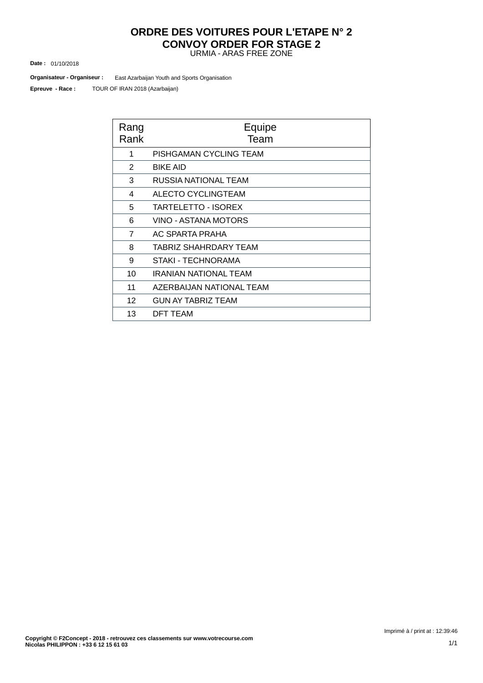#### URMIA - ARAS FREE ZONE **ORDRE DES VOITURES POUR L'ETAPE N° 2 CONVOY ORDER FOR STAGE 2**

01/10/2018 **Date :**

**Organisateur - Organiseur :** East Azarbaijan Youth and Sports Organisation

TOUR OF IRAN 2018 (Azarbaijan) **Epreuve - Race :**

| Rang<br>Rank      | Equipe<br>Team               |
|-------------------|------------------------------|
| 1                 | PISHGAMAN CYCLING TEAM       |
| 2                 | <b>BIKE AID</b>              |
| 3                 | RUSSIA NATIONAL TEAM         |
| 4                 | ALECTO CYCLINGTEAM           |
| 5                 | TARTELETTO - ISOREX          |
| 6                 | VINO - ASTANA MOTORS         |
| $\overline{7}$    | AC SPARTA PRAHA              |
| 8                 | <b>TABRIZ SHAHRDARY TEAM</b> |
| 9                 | STAKI - TECHNORAMA           |
| 10                | IRANIAN NATIONAL TEAM        |
| 11                | AZERBAIJAN NATIONAL TEAM     |
| $12 \overline{ }$ | <b>GUN AY TABRIZ TEAM</b>    |
| 13                | DFT TEAM                     |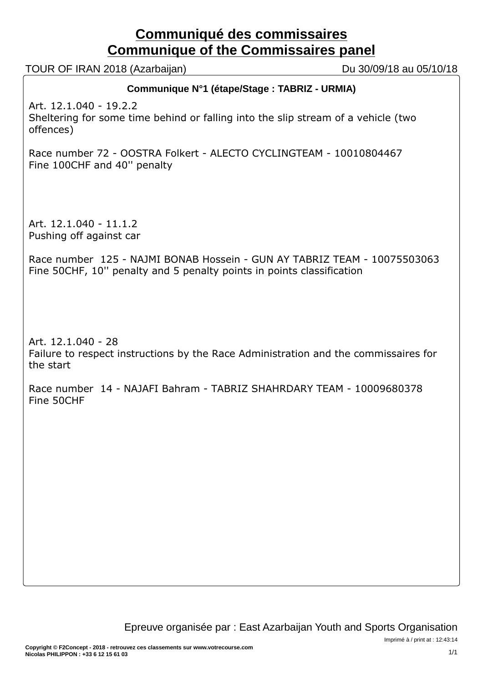# **Communiqué des commissaires Communique of the Commissaires panel**

TOUR OF IRAN 2018 (Azarbaijan) Du 30/09/18 au 05/10/18

# **Communique N°1 (étape/Stage : TABRIZ - URMIA)**

Art. 12.1.040 - 19.2.2 Sheltering for some time behind or falling into the slip stream of a vehicle (two offences)

Race number 72 - OOSTRA Folkert - ALECTO CYCLINGTEAM - 10010804467 Fine 100CHF and 40'' penalty

Art. 12.1.040 - 11.1.2 Pushing off against car

Race number 125 - NAJMI BONAB Hossein - GUN AY TABRIZ TEAM - 10075503063 Fine 50CHF, 10'' penalty and 5 penalty points in points classification

Art. 12.1.040 - 28 Failure to respect instructions by the Race Administration and the commissaires for the start

Race number 14 - NAJAFI Bahram - TABRIZ SHAHRDARY TEAM - 10009680378 Fine 50CHF

Imprimé à / print at : 12:43:14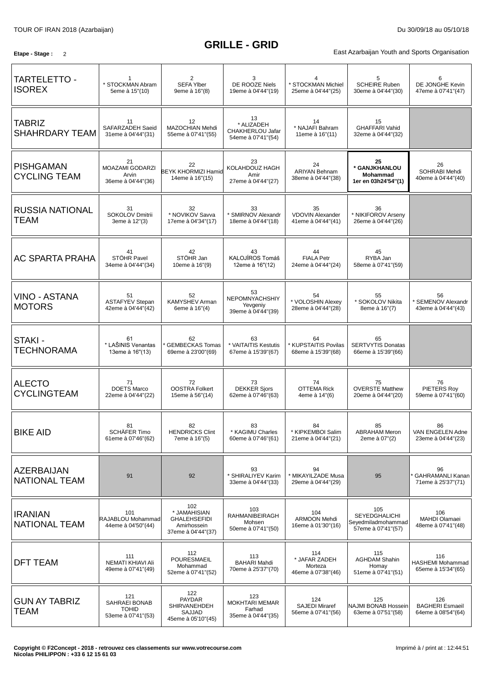# **GRILLE - GRID**

**Etape - Stage** : 2 2 **Etape - Stage** 2 2 **East Azarbaijan Youth and Sports Organisation** 

| <b>TARTELETTO -</b><br><b>ISOREX</b>      | * STOCKMAN Abram<br>5eme à 15"(10)                          | 2<br><b>SEFA Ylber</b><br>9eme à 16"(8)                                         | 3<br>DE ROOZE Niels<br>19eme à 04'44"(19)                  | 4<br>* STOCKMAN Michiel<br>25eme à 04'44"(25)         | 5<br><b>SCHEIRE Ruben</b><br>30eme à 04'44"(30)                         | 6<br>DE JONGHE Kevin<br>47eme à 07'41"(47)           |
|-------------------------------------------|-------------------------------------------------------------|---------------------------------------------------------------------------------|------------------------------------------------------------|-------------------------------------------------------|-------------------------------------------------------------------------|------------------------------------------------------|
| <b>TABRIZ</b><br><b>SHAHRDARY TEAM</b>    | 11<br>SAFARZADEH Saeid<br>31eme à 04'44"(31)                | 12<br>MAZOCHIAN Mehdi<br>55eme à 07'41"(55)                                     | 13<br>* ALIZADEH<br>CHAKHERLOU Jafar<br>54eme à 07'41"(54) | 14<br>* NAJAFI Bahram<br>11eme à 16"(11)              | 15<br><b>GHAFFARI Vahid</b><br>32eme à 04'44"(32)                       |                                                      |
| <b>PISHGAMAN</b><br><b>CYCLING TEAM</b>   | 21<br><b>MOAZAMI GODARZI</b><br>Arvin<br>36eme à 04'44"(36) | 22<br><b>BEYK KHORMIZI Hamid</b><br>14eme à 16"(15)                             | 23<br>KOLAHDOUZ HAGH<br>Amir<br>27eme à 04'44"(27)         | 24<br><b>ARIYAN Behnam</b><br>38eme à 04'44"(38)      | 25<br>* GANJKHANLOU<br>Mohammad<br>1er en 03h24'54"(1)                  | 26<br>SOHRABI Mehdi<br>40eme à 04'44"(40)            |
| <b>RUSSIA NATIONAL</b><br><b>TEAM</b>     | 31<br><b>SOKOLOV Dmitrii</b><br>3eme à 12"(3)               | 32<br>* NOVIKOV Savva<br>17eme à 04'34"(17)                                     | 33<br>* SMIRNOV Alexandr<br>18eme à 04'44"(18)             | 35<br><b>VDOVIN Alexander</b><br>41eme à 04'44"(41)   | 36<br>* NIKIFOROV Arseny<br>26eme à 04'44"(26)                          |                                                      |
| <b>AC SPARTA PRAHA</b>                    | 41<br>STÖHR Pavel<br>34eme à 04'44"(34)                     | 42<br>STÖHR Jan<br>10eme à 16"(9)                                               | 43<br>KALOJÍROS Tomáš<br>12eme à 16"(12)                   | 44<br><b>FIALA Petr</b><br>24eme à 04'44"(24)         | 45<br>RYBA Jan<br>58eme à 07'41"(59)                                    |                                                      |
| <b>VINO - ASTANA</b><br><b>MOTORS</b>     | 51<br><b>ASTAFYEV Stepan</b><br>42eme à 04'44"(42)          | 52<br><b>KAMYSHEV Arman</b><br>6eme à 16"(4)                                    | 53<br>NEPOMNYACHSHIY<br>Yevgeniy<br>39eme à 04'44"(39)     | 54<br>* VOLOSHIN Alexey<br>28eme à 04'44"(28)         | 55<br>* SOKOLOV Nikita<br>8eme à 16"(7)                                 | 56<br>* SEMENOV Alexandr<br>43eme à 04'44"(43)       |
| STAKI -<br><b>TECHNORAMA</b>              | 61<br>* LAŠINIS Venantas<br>13eme à 16"(13)                 | 62<br><b>GEMBECKAS Tomas</b><br>69eme à 23'00"(69)                              | 63<br>* VAITAITIS Kestutis<br>67eme à 15'39"(67)           | 64<br>* KUPSTAITIS Povilas<br>68eme à 15'39"(68)      | 65<br><b>SERTVYTIS Donatas</b><br>66eme à 15'39"(66)                    |                                                      |
| <b>ALECTO</b><br><b>CYCLINGTEAM</b>       | 71<br><b>DOETS Marco</b><br>22eme à 04'44"(22)              | 72<br><b>OOSTRA Folkert</b><br>15eme à 56"(14)                                  | 73<br><b>DEKKER Sjors</b><br>62eme à 07'46"(63)            | 74<br><b>OTTEMA Rick</b><br>4eme à 14"(6)             | 75<br><b>OVERSTE Matthew</b><br>20eme à 04'44"(20)                      | 76<br>PIETERS Roy<br>59eme à 07'41"(60)              |
| <b>BIKE AID</b>                           | 81<br>SCHÄFER Timo<br>61eme à 07'46"(62)                    | 82<br><b>HENDRICKS Clint</b><br>7eme à 16"(5)                                   | 83<br>* KAGIMU Charles<br>60eme à 07'46"(61)               | 84<br>* KIPKEMBOI Salim<br>21eme à 04'44"(21)         | 85<br><b>ABRAHAM Meron</b><br>2eme à 07"(2)                             | 86<br>VAN ENGELEN Adne<br>23eme à 04'44"(23)         |
| <b>AZERBAIJAN</b><br><b>NATIONAL TEAM</b> | 91                                                          | 92                                                                              | 93<br>* SHIRALIYEV Karim<br>33eme à 04'44"(33)             | 94<br>* MIKAYILZADE Musa<br>29eme à 04'44"(29)        | 95                                                                      | 96<br>GAHRAMANLI Kanan<br>71eme à 25'37"(71)         |
| <b>IRANIAN</b><br><b>NATIONAL TEAM</b>    | 101<br>RAJABLOU Mohammad<br>44eme à 04'50"(44)              | 102<br>* JAMAHISIAN<br><b>GHALEHSEFIDI</b><br>Amirhossein<br>37eme à 04'44"(37) | 103<br>RAHMANIBEIRAGH<br>Mohsen<br>50eme à 07'41"(50)      | 104<br><b>ARMOON Mehdi</b><br>16eme à 01'30"(16)      | 105<br><b>SEYEDGHALICHI</b><br>Seyedmiladmohammad<br>57eme à 07'41"(57) | 106<br>MAHDI Olamaei<br>48eme à 07'41"(48)           |
| <b>DFT TEAM</b>                           | 111<br>NEMATI KHIAVI Ali<br>49eme à 07'41"(49)              | 112<br>POURESMAEIL<br>Mohammad<br>52eme à 07'41"(52)                            | 113<br><b>BAHARI Mahdi</b><br>70eme à 25'37"(70)           | 114<br>* JAFAR ZADEH<br>Morteza<br>46eme à 07'38"(46) | 115<br><b>AGHDAM Shahin</b><br>Homay<br>51eme à 07'41"(51)              | 116<br><b>HASHEMI Mohammad</b><br>65eme à 15'34"(65) |
| <b>GUN AY TABRIZ</b><br><b>TEAM</b>       | 121<br>SAHRAEI BONAB<br><b>TOHID</b><br>53eme à 07'41"(53)  | 122<br>PAYDAR<br><b>SHIRVANEHDEH</b><br>SAJJAD<br>45eme à 05'10"(45)            | 123<br>MOKHTARI MEMAR<br>Farhad<br>35eme à 04'44"(35)      | 124<br><b>SAJEDI Miraref</b><br>56eme à 07'41"(56)    | 125<br>NAJMI BONAB Hossein<br>63eme à 07'51"(58)                        | 126<br><b>BAGHERI Esmaeil</b><br>64eme à 08'54"(64)  |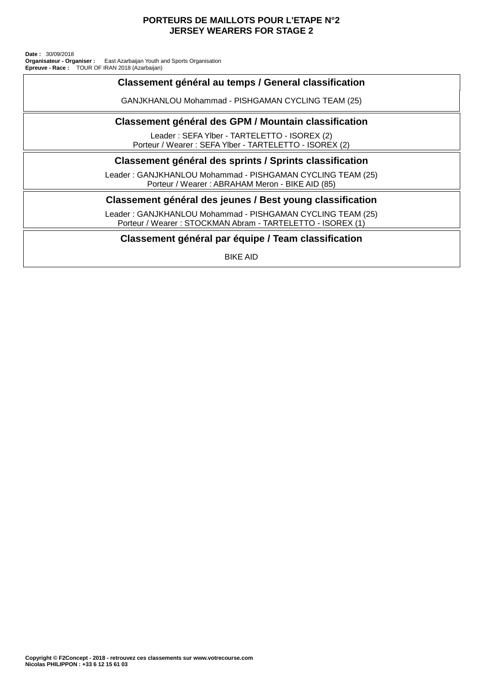#### **PORTEURS DE MAILLOTS POUR L'ETAPE N°2 JERSEY WEARERS FOR STAGE 2**

TOUR OF IRAN 2018 (Azarbaijan) East Azarbaijan Youth and Sports Organisation **Date :** 30/09/2018 **Organisateur - Organiser : Epreuve - Race :**

## **Classement général au temps / General classification**

GANJKHANLOU Mohammad - PISHGAMAN CYCLING TEAM (25)

#### **Classement général des GPM / Mountain classification**

Leader : SEFA Ylber - TARTELETTO - ISOREX (2) Porteur / Wearer : SEFA Ylber - TARTELETTO - ISOREX (2)

#### **Classement général des sprints / Sprints classification**

Leader : GANJKHANLOU Mohammad - PISHGAMAN CYCLING TEAM (25) Porteur / Wearer : ABRAHAM Meron - BIKE AID (85)

### **Classement général des jeunes / Best young classification**

Leader : GANJKHANLOU Mohammad - PISHGAMAN CYCLING TEAM (25) Porteur / Wearer : STOCKMAN Abram - TARTELETTO - ISOREX (1)

#### **Classement général par équipe / Team classification**

BIKE AID